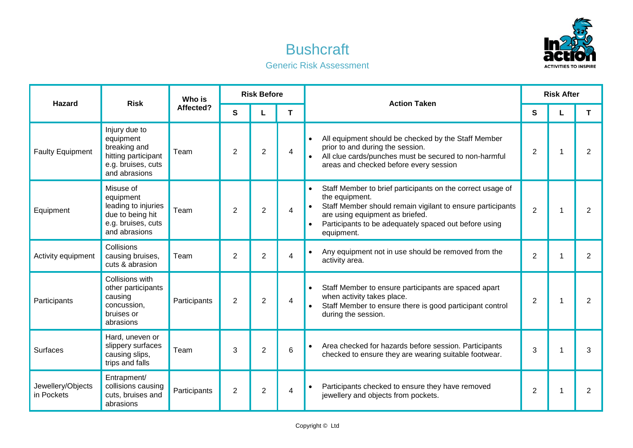

## **Bushcraft** Generic Risk Assessment

| <b>Hazard</b>                   | <b>Risk</b>                                                                                              | Who is<br>Affected? | <b>Risk Before</b> |                |   | <b>Action Taken</b>                                                                                                                                                                                                                                                                         | <b>Risk After</b> |   |                |
|---------------------------------|----------------------------------------------------------------------------------------------------------|---------------------|--------------------|----------------|---|---------------------------------------------------------------------------------------------------------------------------------------------------------------------------------------------------------------------------------------------------------------------------------------------|-------------------|---|----------------|
|                                 |                                                                                                          |                     | S                  |                | Τ |                                                                                                                                                                                                                                                                                             | S                 |   | T.             |
| <b>Faulty Equipment</b>         | Injury due to<br>equipment<br>breaking and<br>hitting participant<br>e.g. bruises, cuts<br>and abrasions | Team                | $\overline{2}$     | $\overline{2}$ | 4 | All equipment should be checked by the Staff Member<br>$\bullet$<br>prior to and during the session.<br>All clue cards/punches must be secured to non-harmful<br>areas and checked before every session                                                                                     | $\overline{2}$    | 1 | 2              |
| Equipment                       | Misuse of<br>equipment<br>leading to injuries<br>due to being hit<br>e.g. bruises, cuts<br>and abrasions | Team                | $\overline{2}$     | 2              | 4 | Staff Member to brief participants on the correct usage of<br>$\bullet$<br>the equipment.<br>Staff Member should remain vigilant to ensure participants<br>$\bullet$<br>are using equipment as briefed.<br>Participants to be adequately spaced out before using<br>$\bullet$<br>equipment. | 2                 | 1 | 2              |
| Activity equipment              | Collisions<br>causing bruises,<br>cuts & abrasion                                                        | Team                | $\overline{2}$     | $\overline{2}$ | 4 | Any equipment not in use should be removed from the<br>$\bullet$<br>activity area.                                                                                                                                                                                                          | $\overline{2}$    |   | $\overline{2}$ |
| Participants                    | Collisions with<br>other participants<br>causing<br>concussion,<br>bruises or<br>abrasions               | Participants        | $\overline{2}$     | $\overline{2}$ | 4 | Staff Member to ensure participants are spaced apart<br>$\bullet$<br>when activity takes place.<br>Staff Member to ensure there is good participant control<br>during the session.                                                                                                          | $\overline{2}$    |   | $\overline{2}$ |
| Surfaces                        | Hard, uneven or<br>slippery surfaces<br>causing slips,<br>trips and falls                                | Team                | 3                  | $\overline{2}$ | 6 | Area checked for hazards before session. Participants<br>$\bullet$<br>checked to ensure they are wearing suitable footwear.                                                                                                                                                                 | 3                 | 1 | 3              |
| Jewellery/Objects<br>in Pockets | Entrapment/<br>collisions causing<br>cuts, bruises and<br>abrasions                                      | Participants        | $\overline{2}$     | $\overline{2}$ | 4 | Participants checked to ensure they have removed<br>$\bullet$<br>jewellery and objects from pockets.                                                                                                                                                                                        | $\overline{2}$    | 1 | $\overline{2}$ |